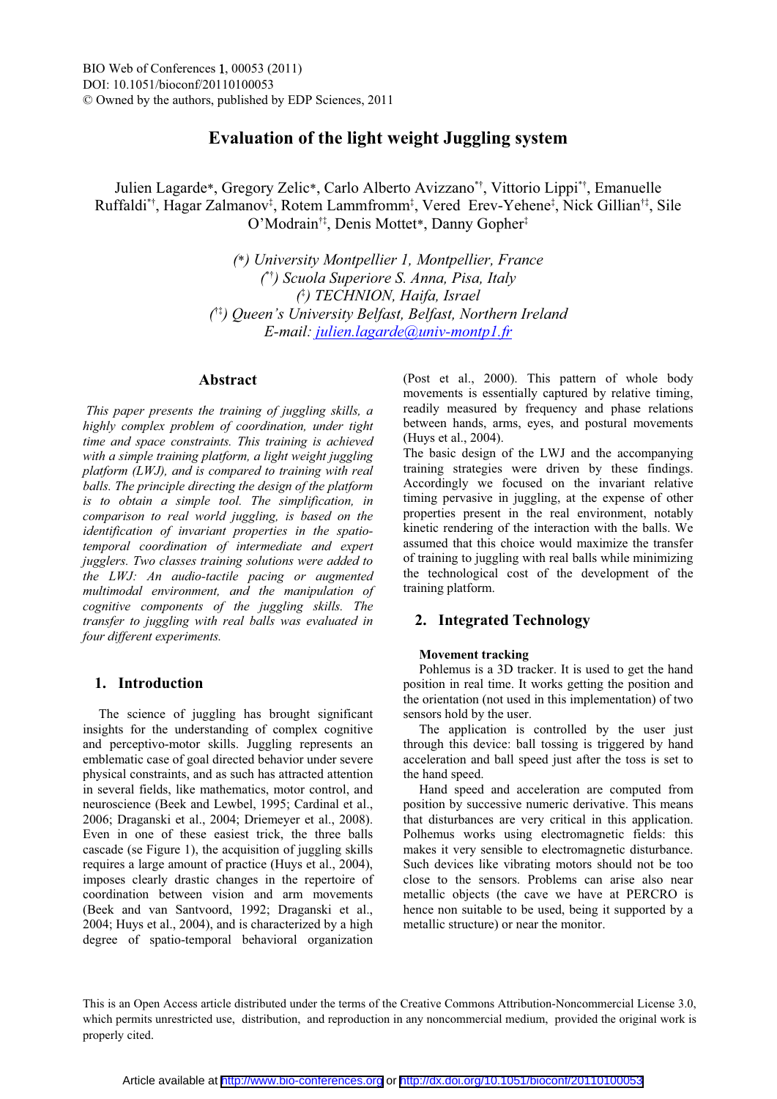# **Evaluation of the light weight Juggling system**

Julien Lagarde\*, Gregory Zelic\*, Carlo Alberto Avizzano<sup>\*†</sup>, Vittorio Lippi<sup>\*†</sup>, Emanuelle Ruffaldi\*†, Hagar Zalmanov‡, Rotem Lammfromm‡, Vered Erev-Yehene‡, Nick Gillian†‡, Sile O'Modrain<sup>†‡</sup>, Denis Mottet\*, Danny Gopher<sup>‡</sup>

> *(*\**) University Montpellier 1, Montpellier, France ( ) Scuola Superiore S. Anna, Pisa, Italy (* Á *) TECHNION, Haifa, Israel (* Á*) Queen¶s University Belfast, Belfast, Northern Ireland E-mail: julien.lagarde@univ-montp1.fr*

# **Abstract**

 *This paper presents the training of juggling skills, a highly complex problem of coordination, under tight time and space constraints. This training is achieved with a simple training platform, a light weight juggling platform (LWJ), and is compared to training with real balls. The principle directing the design of the platform is to obtain a simple tool. The simplification, in comparison to real world juggling, is based on the identification of invariant properties in the spatiotemporal coordination of intermediate and expert jugglers. Two classes training solutions were added to the LWJ: An audio-tactile pacing or augmented multimodal environment, and the manipulation of cognitive components of the juggling skills. The transfer to juggling with real balls was evaluated in four different experiments.* 

# **1. Introduction**

The science of juggling has brought significant insights for the understanding of complex cognitive and perceptivo-motor skills. Juggling represents an emblematic case of goal directed behavior under severe physical constraints, and as such has attracted attention in several fields, like mathematics, motor control, and neuroscience (Beek and Lewbel, 1995; Cardinal et al., 2006; Draganski et al., 2004; Driemeyer et al., 2008). Even in one of these easiest trick, the three balls cascade (se Figure 1), the acquisition of juggling skills requires a large amount of practice (Huys et al., 2004), imposes clearly drastic changes in the repertoire of coordination between vision and arm movements (Beek and van Santvoord, 1992; Draganski et al., 2004; Huys et al., 2004), and is characterized by a high degree of spatio-temporal behavioral organization

(Post et al., 2000). This pattern of whole body movements is essentially captured by relative timing, readily measured by frequency and phase relations between hands, arms, eyes, and postural movements (Huys et al., 2004).

The basic design of the LWJ and the accompanying training strategies were driven by these findings. Accordingly we focused on the invariant relative timing pervasive in juggling, at the expense of other properties present in the real environment, notably kinetic rendering of the interaction with the balls. We assumed that this choice would maximize the transfer of training to juggling with real balls while minimizing the technological cost of the development of the training platform.

### **2. Integrated Technology**

#### **Movement tracking**

Pohlemus is a 3D tracker. It is used to get the hand position in real time. It works getting the position and the orientation (not used in this implementation) of two sensors hold by the user.

The application is controlled by the user just through this device: ball tossing is triggered by hand acceleration and ball speed just after the toss is set to the hand speed.

Hand speed and acceleration are computed from position by successive numeric derivative. This means that disturbances are very critical in this application. Polhemus works using electromagnetic fields: this makes it very sensible to electromagnetic disturbance. Such devices like vibrating motors should not be too close to the sensors. Problems can arise also near metallic objects (the cave we have at PERCRO is hence non suitable to be used, being it supported by a metallic structure) or near the monitor.

This is an Open Access article distributed under the terms of the Creative Commons Attribution-Noncommercial License 3.0, which permits unrestricted use, distribution, and reproduction in any noncommercial medium, provided the original work is properly cited.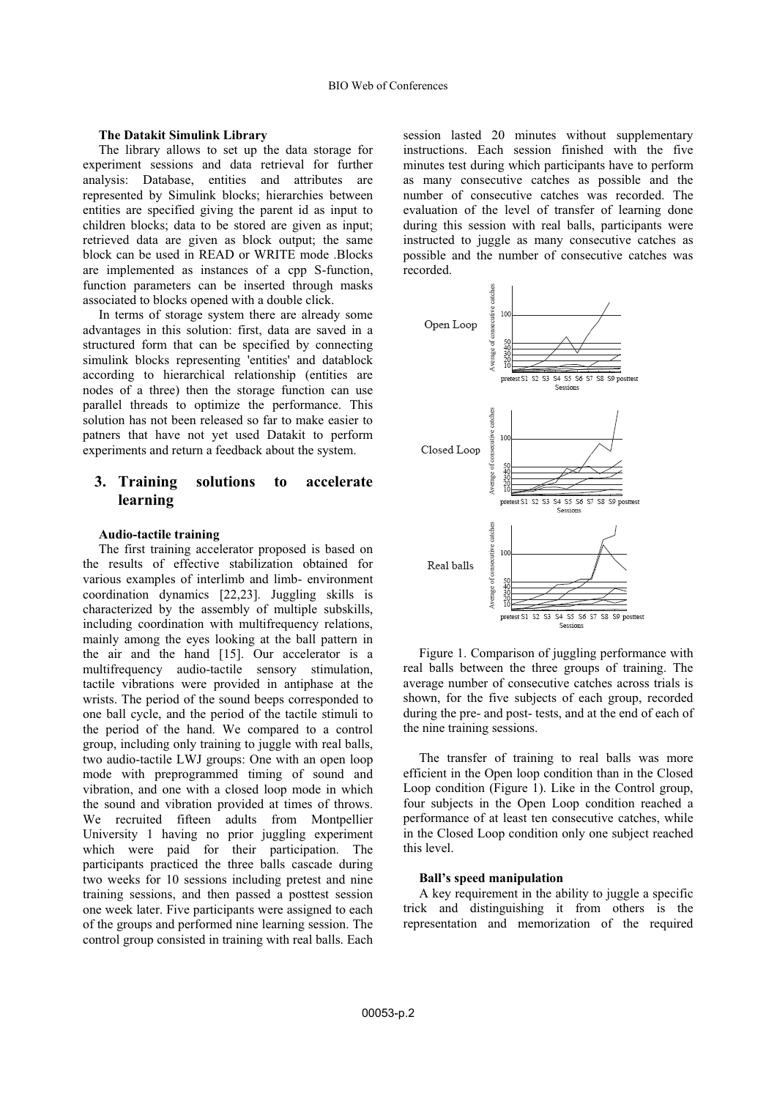#### **The Datakit Simulink Library**

The library allows to set up the data storage for experiment sessions and data retrieval for further analysis: Database, entities and attributes are represented by Simulink blocks; hierarchies between entities are specified giving the parent id as input to children blocks; data to be stored are given as input; retrieved data are given as block output; the same block can be used in READ or WRITE mode .Blocks are implemented as instances of a cpp S-function, function parameters can be inserted through masks associated to blocks opened with a double click.

In terms of storage system there are already some advantages in this solution: first, data are saved in a structured form that can be specified by connecting simulink blocks representing 'entities' and datablock according to hierarchical relationship (entities are nodes of a three) then the storage function can use parallel threads to optimize the performance. This solution has not been released so far to make easier to patners that have not yet used Datakit to perform experiments and return a feedback about the system.

# **3. Training solutions to accelerate learning**

#### **Audio-tactile training**

The first training accelerator proposed is based on the results of effective stabilization obtained for various examples of interlimb and limb- environment coordination dynamics [22,23]. Juggling skills is characterized by the assembly of multiple subskills, including coordination with multifrequency relations, mainly among the eyes looking at the ball pattern in the air and the hand [15]. Our accelerator is a multifrequency audio-tactile sensory stimulation, tactile vibrations were provided in antiphase at the wrists. The period of the sound beeps corresponded to one ball cycle, and the period of the tactile stimuli to the period of the hand. We compared to a control group, including only training to juggle with real balls, two audio-tactile LWJ groups: One with an open loop mode with preprogrammed timing of sound and vibration, and one with a closed loop mode in which the sound and vibration provided at times of throws. We recruited fifteen adults from Montpellier University 1 having no prior juggling experiment which were paid for their participation. The participants practiced the three balls cascade during two weeks for 10 sessions including pretest and nine training sessions, and then passed a posttest session one week later. Five participants were assigned to each of the groups and performed nine learning session. The control group consisted in training with real balls. Each

session lasted 20 minutes without supplementary instructions. Each session finished with the five minutes test during which participants have to perform as many consecutive catches as possible and the number of consecutive catches was recorded. The evaluation of the level of transfer of learning done during this session with real balls, participants were instructed to juggle as many consecutive catches as possible and the number of consecutive catches was recorded.



Figure 1. Comparison of juggling performance with real balls between the three groups of training. The average number of consecutive catches across trials is shown, for the five subjects of each group, recorded during the pre- and post- tests, and at the end of each of the nine training sessions.

The transfer of training to real balls was more efficient in the Open loop condition than in the Closed Loop condition (Figure 1). Like in the Control group, four subjects in the Open Loop condition reached a performance of at least ten consecutive catches, while in the Closed Loop condition only one subject reached this level.

#### **Ball's speed manipulation**

A key requirement in the ability to juggle a specific trick and distinguishing it from others is the representation and memorization of the required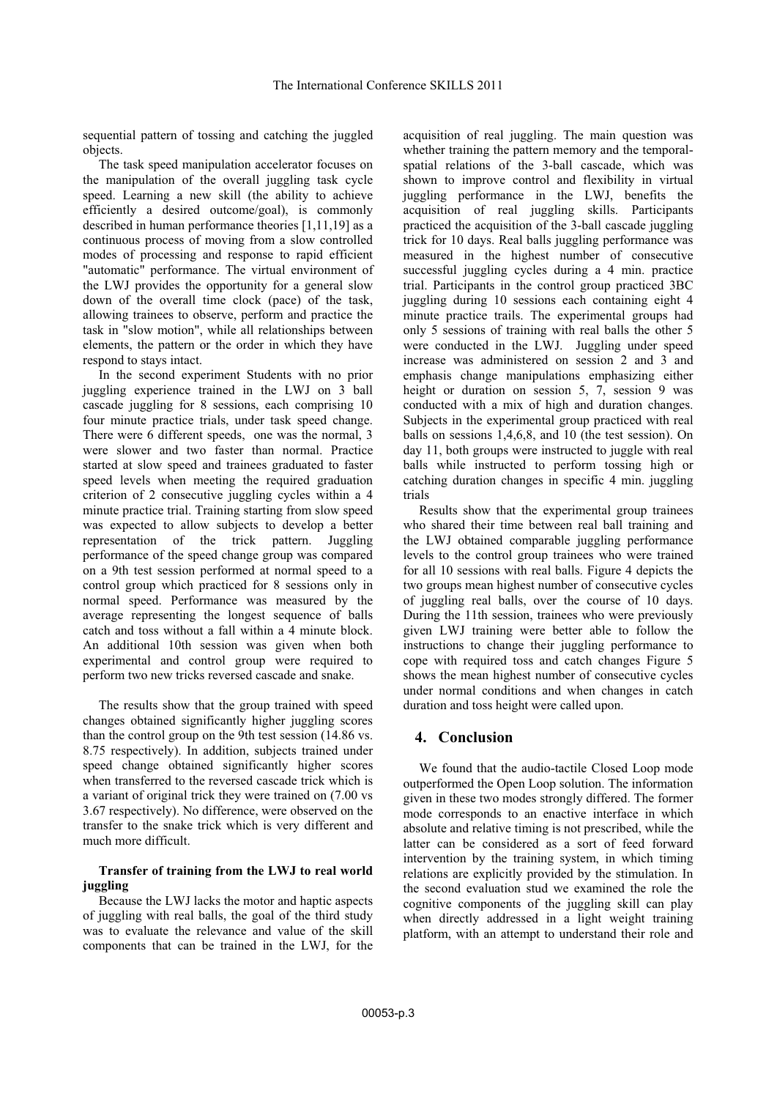sequential pattern of tossing and catching the juggled objects.

The task speed manipulation accelerator focuses on the manipulation of the overall juggling task cycle speed. Learning a new skill (the ability to achieve efficiently a desired outcome/goal), is commonly described in human performance theories [1,11,19] as a continuous process of moving from a slow controlled modes of processing and response to rapid efficient "automatic" performance. The virtual environment of the LWJ provides the opportunity for a general slow down of the overall time clock (pace) of the task, allowing trainees to observe, perform and practice the task in "slow motion", while all relationships between elements, the pattern or the order in which they have respond to stays intact.

In the second experiment Students with no prior juggling experience trained in the LWJ on 3 ball cascade juggling for 8 sessions, each comprising 10 four minute practice trials, under task speed change. There were 6 different speeds, one was the normal, 3 were slower and two faster than normal. Practice started at slow speed and trainees graduated to faster speed levels when meeting the required graduation criterion of 2 consecutive juggling cycles within a 4 minute practice trial. Training starting from slow speed was expected to allow subjects to develop a better representation of the trick pattern. Juggling performance of the speed change group was compared on a 9th test session performed at normal speed to a control group which practiced for 8 sessions only in normal speed. Performance was measured by the average representing the longest sequence of balls catch and toss without a fall within a 4 minute block. An additional 10th session was given when both experimental and control group were required to perform two new tricks reversed cascade and snake.

The results show that the group trained with speed changes obtained significantly higher juggling scores than the control group on the 9th test session (14.86 vs. 8.75 respectively). In addition, subjects trained under speed change obtained significantly higher scores when transferred to the reversed cascade trick which is a variant of original trick they were trained on (7.00 vs 3.67 respectively). No difference, were observed on the transfer to the snake trick which is very different and much more difficult.

### **Transfer of training from the LWJ to real world juggling**

Because the LWJ lacks the motor and haptic aspects of juggling with real balls, the goal of the third study was to evaluate the relevance and value of the skill components that can be trained in the LWJ, for the

acquisition of real juggling. The main question was whether training the pattern memory and the temporalspatial relations of the 3-ball cascade, which was shown to improve control and flexibility in virtual juggling performance in the LWJ, benefits the acquisition of real juggling skills. Participants practiced the acquisition of the 3-ball cascade juggling trick for 10 days. Real balls juggling performance was measured in the highest number of consecutive successful juggling cycles during a 4 min. practice trial. Participants in the control group practiced 3BC juggling during 10 sessions each containing eight 4 minute practice trails. The experimental groups had only 5 sessions of training with real balls the other 5 were conducted in the LWJ. Juggling under speed increase was administered on session 2 and 3 and emphasis change manipulations emphasizing either height or duration on session 5, 7, session 9 was conducted with a mix of high and duration changes. Subjects in the experimental group practiced with real balls on sessions 1,4,6,8, and 10 (the test session). On day 11, both groups were instructed to juggle with real balls while instructed to perform tossing high or catching duration changes in specific 4 min. juggling trials

Results show that the experimental group trainees who shared their time between real ball training and the LWJ obtained comparable juggling performance levels to the control group trainees who were trained for all 10 sessions with real balls. Figure 4 depicts the two groups mean highest number of consecutive cycles of juggling real balls, over the course of 10 days. During the 11th session, trainees who were previously given LWJ training were better able to follow the instructions to change their juggling performance to cope with required toss and catch changes Figure 5 shows the mean highest number of consecutive cycles under normal conditions and when changes in catch duration and toss height were called upon.

### **4. Conclusion**

We found that the audio-tactile Closed Loop mode outperformed the Open Loop solution. The information given in these two modes strongly differed. The former mode corresponds to an enactive interface in which absolute and relative timing is not prescribed, while the latter can be considered as a sort of feed forward intervention by the training system, in which timing relations are explicitly provided by the stimulation. In the second evaluation stud we examined the role the cognitive components of the juggling skill can play when directly addressed in a light weight training platform, with an attempt to understand their role and